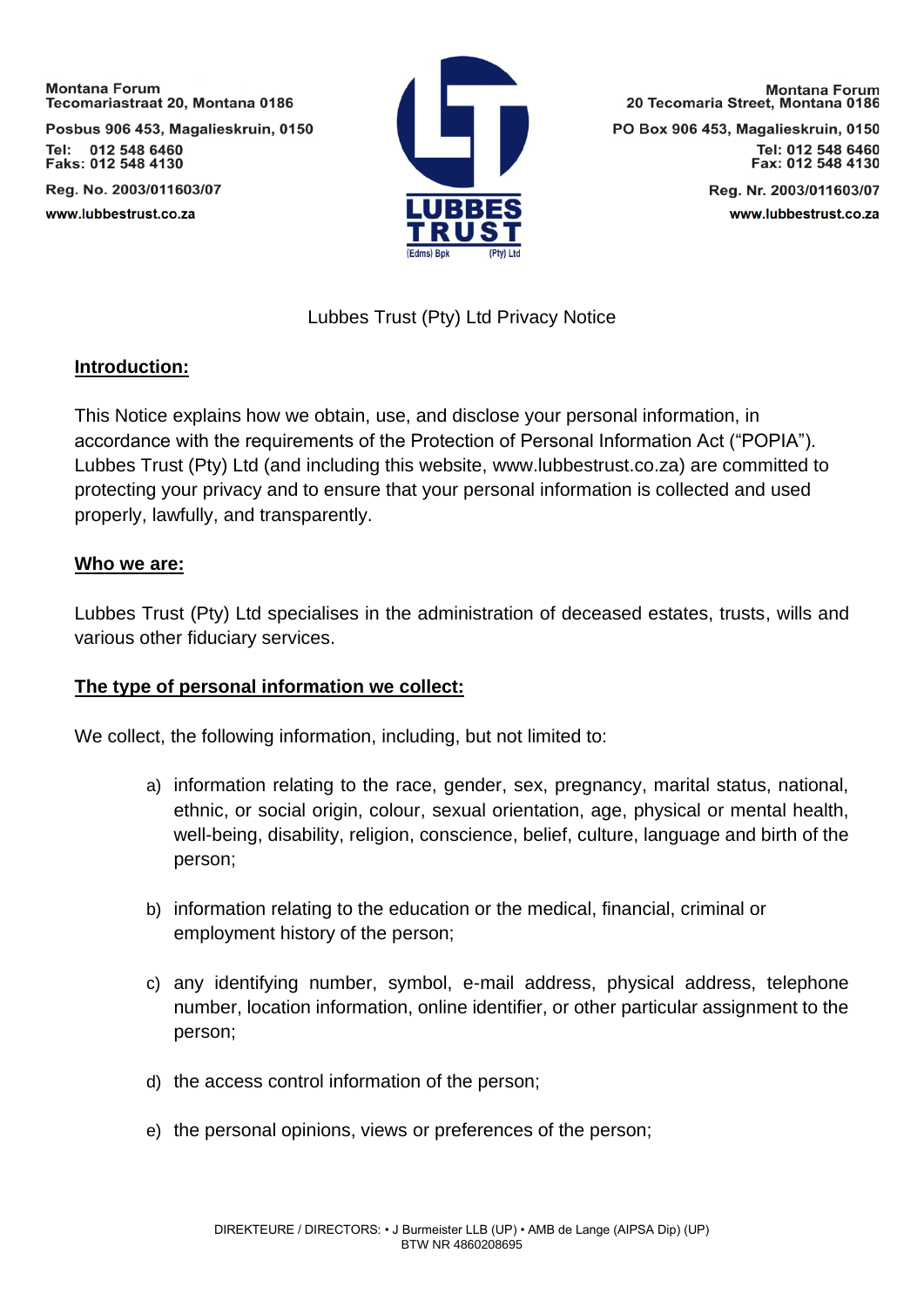Posbus 906 453, Magalieskruin, 0150 Tel: 012 548 6460 Faks: 012 548 4130

Reg. No. 2003/011603/07 www.lubbestrust.co.za



**Montana Forum** 20 Tecomaria Street, Montana 0186 PO Box 906 453, Magalieskruin, 0150

Tel: 012 548 6460 Fax: 012 548 4130

> Reg. Nr. 2003/011603/07 www.lubbestrust.co.za

# Lubbes Trust (Pty) Ltd Privacy Notice

### **Introduction:**

This Notice explains how we obtain, use, and disclose your personal information, in accordance with the requirements of the Protection of Personal Information Act ("POPIA"). Lubbes Trust (Pty) Ltd (and including this website, www.lubbestrust.co.za) are committed to protecting your privacy and to ensure that your personal information is collected and used properly, lawfully, and transparently.

### **Who we are:**

Lubbes Trust (Pty) Ltd specialises in the administration of deceased estates, trusts, wills and various other fiduciary services.

# **The type of personal information we collect:**

We collect, the following information, including, but not limited to:

- a) information relating to the race, gender, sex, pregnancy, marital status, national, ethnic, or social origin, colour, sexual orientation, age, physical or mental health, well-being, disability, religion, conscience, belief, culture, language and birth of the person;
- b) information relating to the education or the medical, financial, criminal or employment history of the person;
- c) any identifying number, symbol, e-mail address, physical address, telephone number, location information, online identifier, or other particular assignment to the person;
- d) the access control information of the person;
- e) the personal opinions, views or preferences of the person;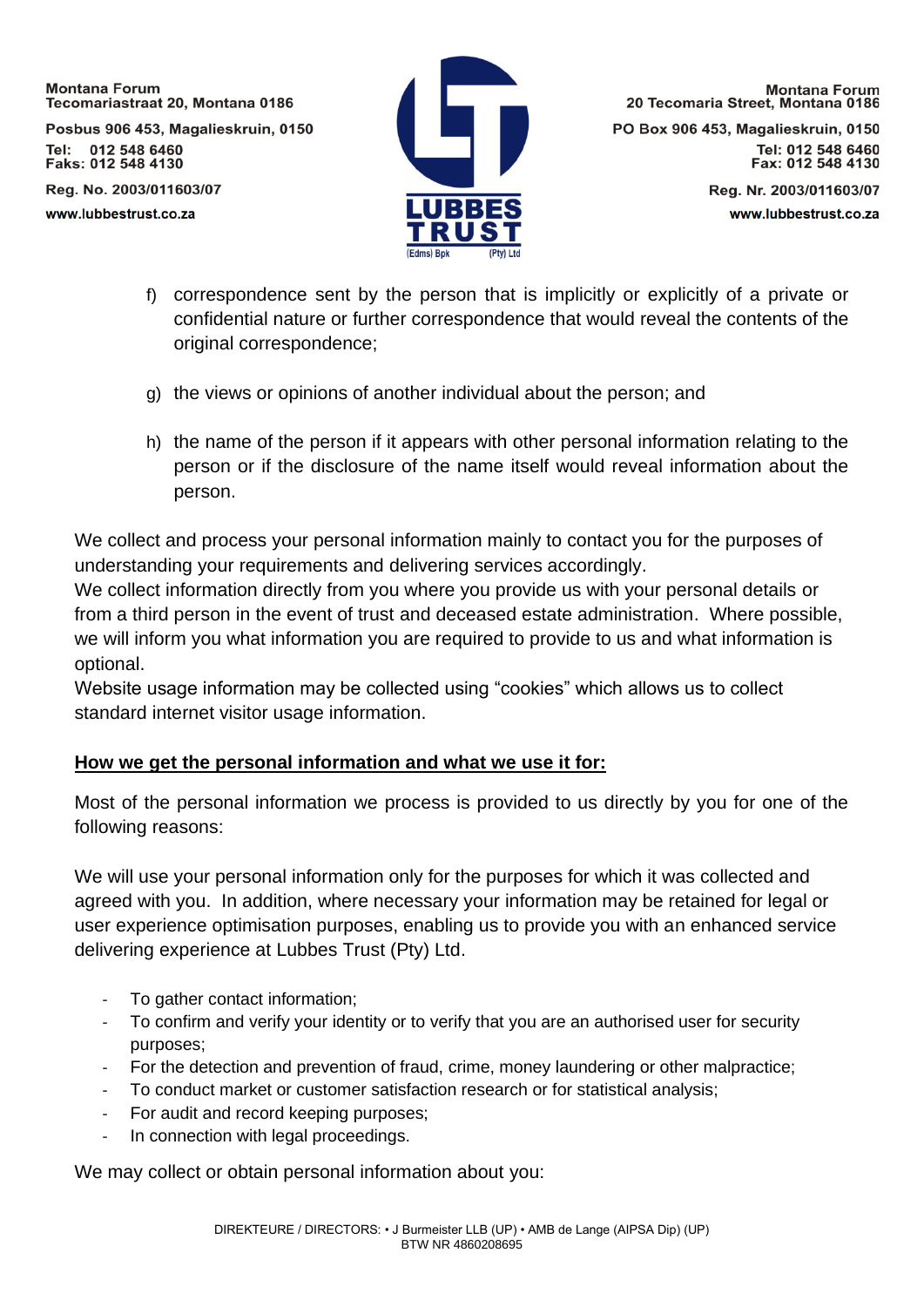Posbus 906 453, Magalieskruin, 0150 Tel: 012 548 6460 Faks: 012 548 4130

Reg. No. 2003/011603/07 www.lubbestrust.co.za



**Montana Forum** 20 Tecomaria Street, Montana 0186 PO Box 906 453, Magalieskruin, 0150 Tel: 012 548 6460 Fax: 012 548 4130

> Reg. Nr. 2003/011603/07 www.lubbestrust.co.za

- f) correspondence sent by the person that is implicitly or explicitly of a private or confidential nature or further correspondence that would reveal the contents of the original correspondence;
- g) the views or opinions of another individual about the person; and
- h) the name of the person if it appears with other personal information relating to the person or if the disclosure of the name itself would reveal information about the person.

We collect and process your personal information mainly to contact you for the purposes of understanding your requirements and delivering services accordingly.

We collect information directly from you where you provide us with your personal details or from a third person in the event of trust and deceased estate administration. Where possible, we will inform you what information you are required to provide to us and what information is optional.

Website usage information may be collected using "cookies" which allows us to collect standard internet visitor usage information.

# **How we get the personal information and what we use it for:**

Most of the personal information we process is provided to us directly by you for one of the following reasons:

We will use your personal information only for the purposes for which it was collected and agreed with you. In addition, where necessary your information may be retained for legal or user experience optimisation purposes, enabling us to provide you with an enhanced service delivering experience at Lubbes Trust (Pty) Ltd.

- To gather contact information;
- To confirm and verify your identity or to verify that you are an authorised user for security purposes;
- For the detection and prevention of fraud, crime, money laundering or other malpractice;
- To conduct market or customer satisfaction research or for statistical analysis;
- For audit and record keeping purposes:
- In connection with legal proceedings.

We may collect or obtain personal information about you: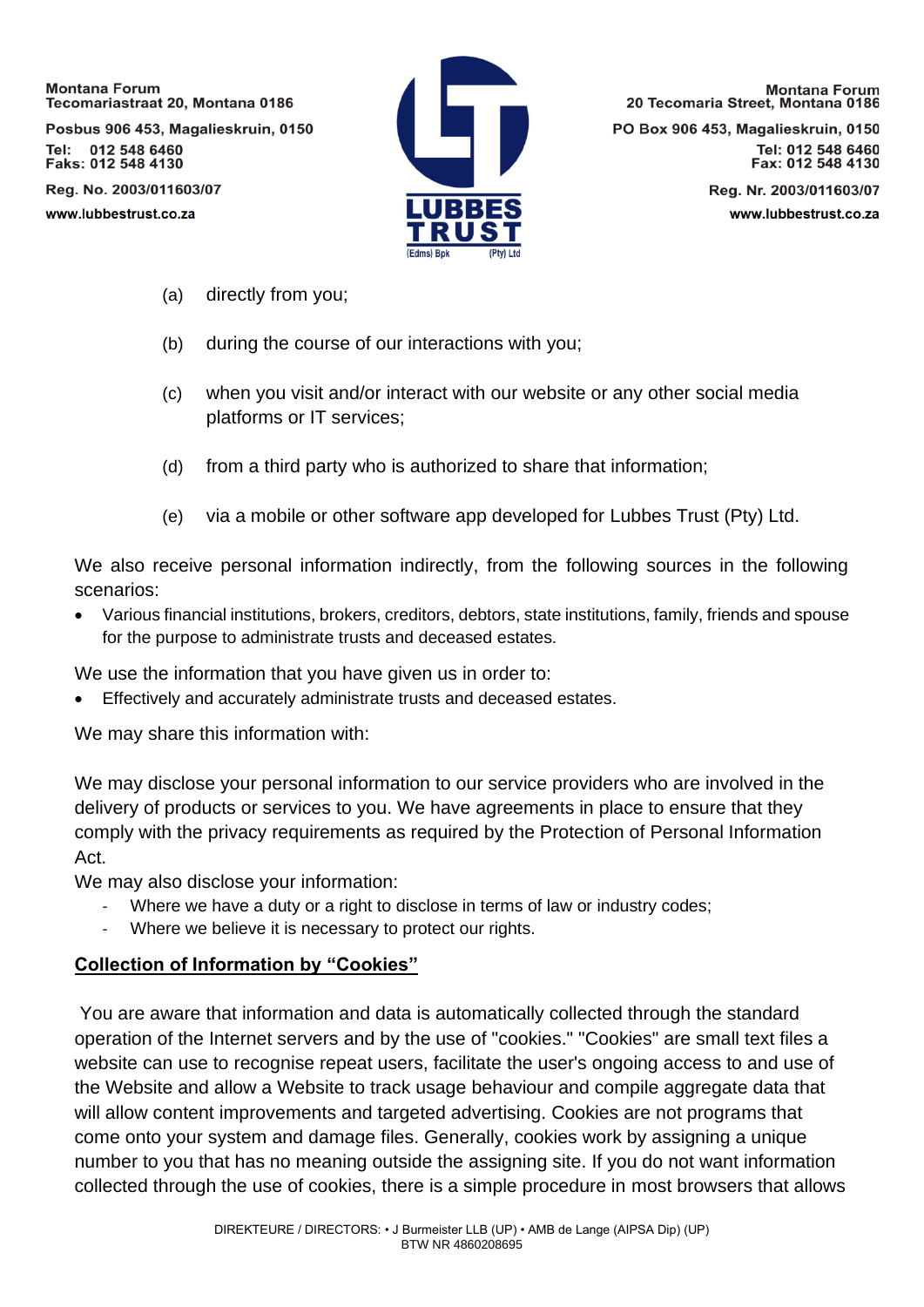Posbus 906 453, Magalieskruin, 0150 Tel: 012 548 6460 Faks: 012 548 4130

Reg. No. 2003/011603/07 www.lubbestrust.co.za



**Montana Forum** 20 Tecomaria Street, Montana 0186

PO Box 906 453, Magalieskruin, 0150 Tel: 012 548 6460 Fax: 012 548 4130

> Reg. Nr. 2003/011603/07 www.lubbestrust.co.za

- (a) directly from you;
- (b) during the course of our interactions with you;
- (c) when you visit and/or interact with our website or any other social media platforms or IT services;
- (d) from a third party who is authorized to share that information;
- (e) via a mobile or other software app developed for Lubbes Trust (Pty) Ltd.

We also receive personal information indirectly, from the following sources in the following scenarios:

• Various financial institutions, brokers, creditors, debtors, state institutions, family, friends and spouse for the purpose to administrate trusts and deceased estates.

We use the information that you have given us in order to:

• Effectively and accurately administrate trusts and deceased estates.

We may share this information with:

We may disclose your personal information to our service providers who are involved in the delivery of products or services to you. We have agreements in place to ensure that they comply with the privacy requirements as required by the Protection of Personal Information Act.

We may also disclose your information:

- Where we have a duty or a right to disclose in terms of law or industry codes;
- Where we believe it is necessary to protect our rights.

### **Collection of Information by "Cookies"**

You are aware that information and data is automatically collected through the standard operation of the Internet servers and by the use of "cookies." "Cookies" are small text files a website can use to recognise repeat users, facilitate the user's ongoing access to and use of the Website and allow a Website to track usage behaviour and compile aggregate data that will allow content improvements and targeted advertising. Cookies are not programs that come onto your system and damage files. Generally, cookies work by assigning a unique number to you that has no meaning outside the assigning site. If you do not want information collected through the use of cookies, there is a simple procedure in most browsers that allows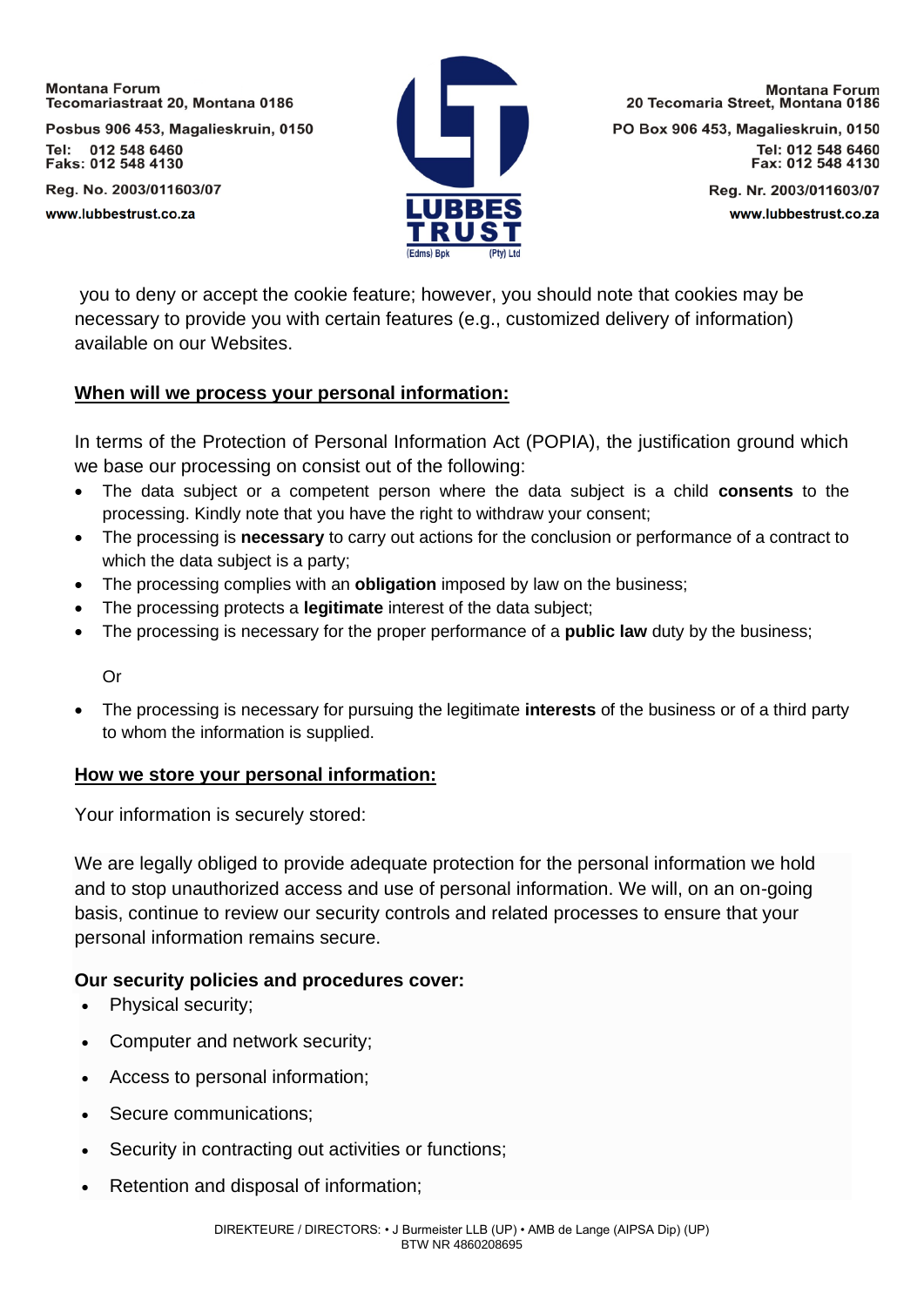Posbus 906 453, Magalieskruin, 0150 Tel: 012 548 6460 Faks: 012 548 4130

Reg. No. 2003/011603/07 www.lubbestrust.co.za



**Montana Forum** 20 Tecomaria Street, Montana 0186

PO Box 906 453, Magalieskruin, 0150 Tel: 012 548 6460 Fax: 012 548 4130

> Reg. Nr. 2003/011603/07 www.lubbestrust.co.za

you to deny or accept the cookie feature; however, you should note that cookies may be necessary to provide you with certain features (e.g., customized delivery of information) available on our Websites.

### **When will we process your personal information:**

In terms of the Protection of Personal Information Act (POPIA), the justification ground which we base our processing on consist out of the following:

- The data subject or a competent person where the data subject is a child **consents** to the processing. Kindly note that you have the right to withdraw your consent;
- The processing is **necessary** to carry out actions for the conclusion or performance of a contract to which the data subject is a party;
- The processing complies with an **obligation** imposed by law on the business;
- The processing protects a **legitimate** interest of the data subject;
- The processing is necessary for the proper performance of a **public law** duty by the business;

Or

• The processing is necessary for pursuing the legitimate **interests** of the business or of a third party to whom the information is supplied.

### **How we store your personal information:**

Your information is securely stored:

We are legally obliged to provide adequate protection for the personal information we hold and to stop unauthorized access and use of personal information. We will, on an on-going basis, continue to review our security controls and related processes to ensure that your personal information remains secure.

# **Our security policies and procedures cover:**

- Physical security;
- Computer and network security;
- Access to personal information;
- Secure communications:
- Security in contracting out activities or functions:
- Retention and disposal of information;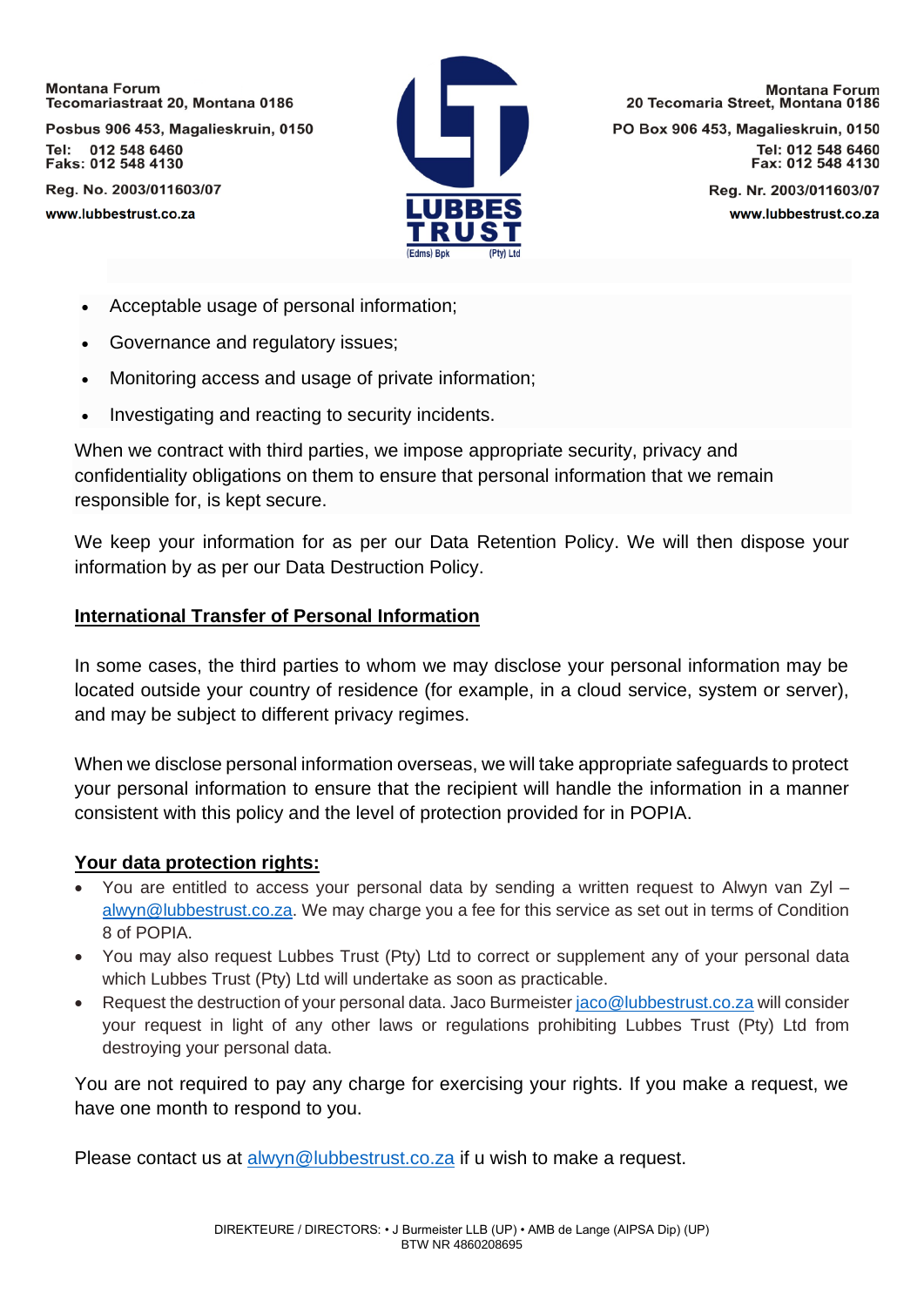Posbus 906 453, Magalieskruin, 0150 Tel: 012 548 6460 Faks: 012 548 4130

Reg. No. 2003/011603/07 www.lubbestrust.co.za



**Montana Forum** 20 Tecomaria Street, Montana 0186

PO Box 906 453, Magalieskruin, 0150 Tel: 012 548 6460 Fax: 012 548 4130

> Reg. Nr. 2003/011603/07 www.lubbestrust.co.za

- Acceptable usage of personal information;
- Governance and regulatory issues;
- Monitoring access and usage of private information;
- Investigating and reacting to security incidents.

When we contract with third parties, we impose appropriate security, privacy and confidentiality obligations on them to ensure that personal information that we remain responsible for, is kept secure.

We keep your information for as per our Data Retention Policy. We will then dispose your information by as per our Data Destruction Policy.

#### **International Transfer of Personal Information**

In some cases, the third parties to whom we may disclose your personal information may be located outside your country of residence (for example, in a cloud service, system or server), and may be subject to different privacy regimes.

When we disclose personal information overseas, we will take appropriate safeguards to protect your personal information to ensure that the recipient will handle the information in a manner consistent with this policy and the level of protection provided for in POPIA.

### **Your data protection rights:**

- You are entitled to access your personal data by sending a written request to Alwyn van Zyl [alwyn@lubbestrust.co.za.](mailto:alwyn@lubbestrust.co.za) We may charge you a fee for this service as set out in terms of Condition 8 of POPIA.
- You may also request Lubbes Trust (Pty) Ltd to correct or supplement any of your personal data which Lubbes Trust (Pty) Ltd will undertake as soon as practicable.
- Request the destruction of your personal data. Jaco Burmeister [jaco@lubbestrust.co.za](mailto:jaco@lubbestrust.co.za) will consider your request in light of any other laws or regulations prohibiting Lubbes Trust (Pty) Ltd from destroying your personal data.

You are not required to pay any charge for exercising your rights. If you make a request, we have one month to respond to you.

Please contact us at [alwyn@lubbestrust.co.za](mailto:alwyn@lubbestrust.co.za) if u wish to make a request.